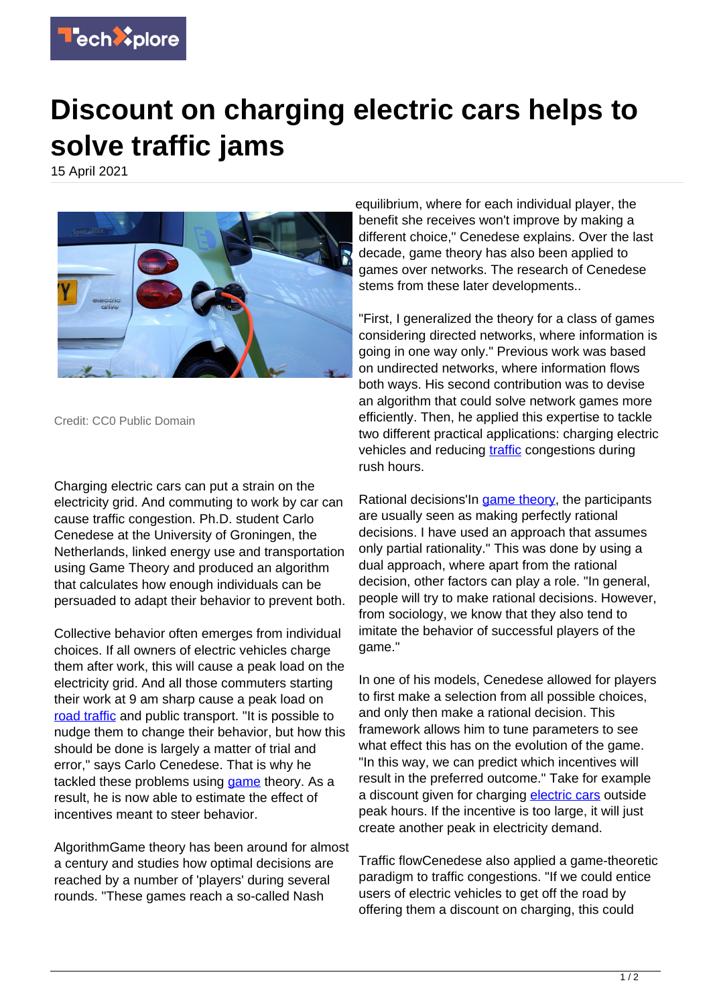

## **Discount on charging electric cars helps to solve traffic jams**

15 April 2021



Credit: CC0 Public Domain

Charging electric cars can put a strain on the electricity grid. And commuting to work by car can cause traffic congestion. Ph.D. student Carlo Cenedese at the University of Groningen, the Netherlands, linked energy use and transportation using Game Theory and produced an algorithm that calculates how enough individuals can be persuaded to adapt their behavior to prevent both.

Collective behavior often emerges from individual choices. If all owners of electric vehicles charge them after work, this will cause a peak load on the electricity grid. And all those commuters starting their work at 9 am sharp cause a peak load on [road traffic](https://techxplore.com/tags/road+traffic/) and public transport. "It is possible to nudge them to change their behavior, but how this should be done is largely a matter of trial and error," says Carlo Cenedese. That is why he tackled these problems using [game](https://techxplore.com/tags/game/) theory. As a result, he is now able to estimate the effect of incentives meant to steer behavior.

AlgorithmGame theory has been around for almost a century and studies how optimal decisions are reached by a number of 'players' during several rounds. "These games reach a so-called Nash

equilibrium, where for each individual player, the benefit she receives won't improve by making a different choice," Cenedese explains. Over the last decade, game theory has also been applied to games over networks. The research of Cenedese stems from these later developments..

"First, I generalized the theory for a class of games considering directed networks, where information is going in one way only." Previous work was based on undirected networks, where information flows both ways. His second contribution was to devise an algorithm that could solve network games more efficiently. Then, he applied this expertise to tackle two different practical applications: charging electric vehicles and reducing [traffic](https://techxplore.com/tags/traffic/) congestions during rush hours.

Rational decisions'In [game theory](https://techxplore.com/tags/game+theory/), the participants are usually seen as making perfectly rational decisions. I have used an approach that assumes only partial rationality." This was done by using a dual approach, where apart from the rational decision, other factors can play a role. "In general, people will try to make rational decisions. However, from sociology, we know that they also tend to imitate the behavior of successful players of the game."

In one of his models, Cenedese allowed for players to first make a selection from all possible choices, and only then make a rational decision. This framework allows him to tune parameters to see what effect this has on the evolution of the game. "In this way, we can predict which incentives will result in the preferred outcome." Take for example a discount given for charging [electric cars](https://techxplore.com/tags/electric+cars/) outside peak hours. If the incentive is too large, it will just create another peak in electricity demand.

Traffic flowCenedese also applied a game-theoretic paradigm to traffic congestions. "If we could entice users of electric vehicles to get off the road by offering them a discount on charging, this could